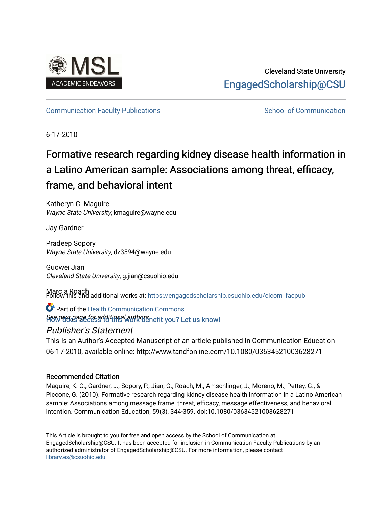

# Cleveland State University [EngagedScholarship@CSU](https://engagedscholarship.csuohio.edu/)

## [Communication Faculty Publications](https://engagedscholarship.csuohio.edu/clcom_facpub) [School of Communication](https://engagedscholarship.csuohio.edu/clcom) School of Communication

6-17-2010

# Formative research regarding kidney disease health information in a Latino American sample: Associations among threat, efficacy, frame, and behavioral intent

Katheryn C. Maguire Wayne State University, kmaguire@wayne.edu

Jay Gardner

Pradeep Sopory Wayne State University, dz3594@wayne.edu

Guowei Jian Cleveland State University, g.jian@csuohio.edu

Marcia Roach Follow this and additional works at: [https://engagedscholarship.csuohio.edu/clcom\\_facpub](https://engagedscholarship.csuohio.edu/clcom_facpub?utm_source=engagedscholarship.csuohio.edu%2Fclcom_facpub%2F4&utm_medium=PDF&utm_campaign=PDFCoverPages) 

hew ext esge tess dditional with Usenefit you? Let us know! **Part of the [Health Communication Commons](http://network.bepress.com/hgg/discipline/330?utm_source=engagedscholarship.csuohio.edu%2Fclcom_facpub%2F4&utm_medium=PDF&utm_campaign=PDFCoverPages)** 

## Publisher's Statement

This is an Author's Accepted Manuscript of an article published in Communication Education 06-17-2010, available online: http://www.tandfonline.com/10.1080/03634521003628271

### Recommended Citation

Maguire, K. C., Gardner, J., Sopory, P., Jian, G., Roach, M., Amschlinger, J., Moreno, M., Pettey, G., & Piccone, G. (2010). Formative research regarding kidney disease health information in a Latino American sample: Associations among message frame, threat, efficacy, message effectiveness, and behavioral intention. Communication Education, 59(3), 344-359. doi:10.1080/03634521003628271

This Article is brought to you for free and open access by the School of Communication at EngagedScholarship@CSU. It has been accepted for inclusion in Communication Faculty Publications by an authorized administrator of EngagedScholarship@CSU. For more information, please contact [library.es@csuohio.edu.](mailto:library.es@csuohio.edu)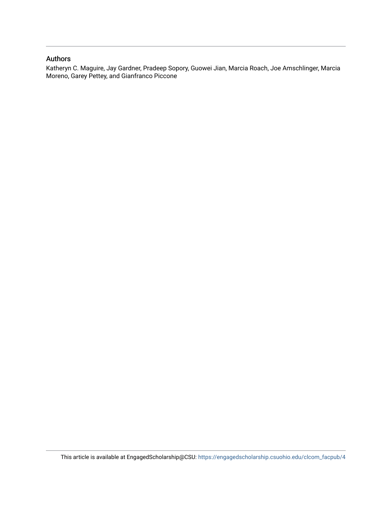### Authors

Katheryn C. Maguire, Jay Gardner, Pradeep Sopory, Guowei Jian, Marcia Roach, Joe Amschlinger, Marcia Moreno, Garey Pettey, and Gianfranco Piccone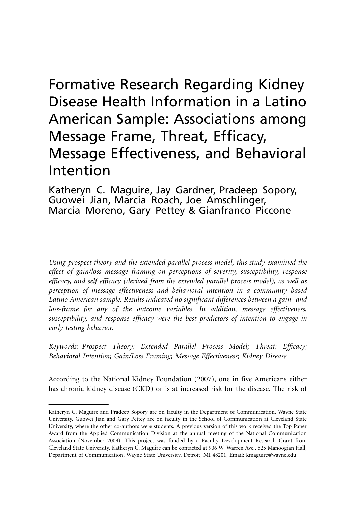# Formative Research Regarding Kidney Disease Health Information in a Latino American Sample: Associations among Message Frame, Threat, Efficacy, Message Effectiveness, and Behavioral Intention

Katheryn C. Maguire, Jay Gardner, Pradeep Sopory, Guowei Jian, Marcia Roach, Joe Amschlinger, Marcia Moreno, Gary Pettey & Gianfranco Piccone

Using prospect theory and the extended parallel process model, this study examined the effect of gain/loss message framing on perceptions of severity, susceptibility, response efficacy, and self efficacy (derived from the extended parallel process model), as well as perception of message effectiveness and behavioral intention in a community based Latino American sample. Results indicated no significant differences between a gain- and loss-frame for any of the outcome variables. In addition, message effectiveness, susceptibility, and response efficacy were the best predictors of intention to engage in early testing behavior.

Keywords: Prospect Theory; Extended Parallel Process Model; Threat; Efficacy; Behavioral Intention; Gain/Loss Framing; Message Effectiveness; Kidney Disease

According to the National Kidney Foundation (2007), one in five Americans either has chronic kidney disease (CKD) or is at increased risk for the disease. The risk of

Katheryn C. Maguire and Pradeep Sopory are on faculty in the Department of Communication, Wayne State University. Guowei Jian and Gary Pettey are on faculty in the School of Communication at Cleveland State University, where the other co-authors were students. A previous version of this work received the Top Paper Award from the Applied Communication Division at the annual meeting of the National Communication Association (November 2009). This project was funded by a Faculty Development Research Grant from Cleveland State University. Katheryn C. Maguire can be contacted at 906 W. Warren Ave., 525 Manoogian Hall, Department of Communication, Wayne State University, Detroit, MI 48201, Email: kmaguire@wayne.edu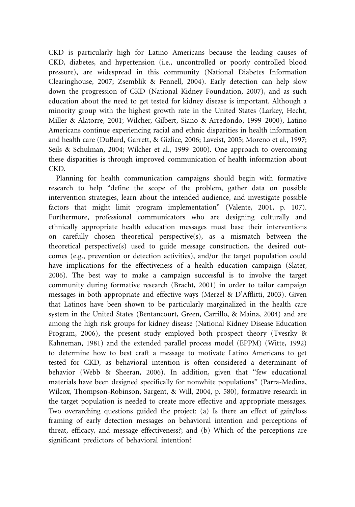CKD is particularly high for Latino Americans because the leading causes of CKD, diabetes, and hypertension (i.e., uncontrolled or poorly controlled blood pressure), are widespread in this community (National Diabetes Information Clearinghouse, 2007; Zsemblik & Fennell, 2004). Early detection can help slow down the progression of CKD (National Kidney Foundation, 2007), and as such education about the need to get tested for kidney disease is important. Although a minority group with the highest growth rate in the United States (Larkey, Hecht, Miller & Alatorre, 2001; Wilcher, Gilbert, Siano & Arredondo, 1999-2000), Latino Americans continue experiencing racial and ethnic disparities in health information and health care (DuBard, Garrett, & Gizlice, 2006; Laveist, 2005; Moreno et al., 1997; Seils & Schulman, 2004; Wilcher et al., 1999–2000). One approach to overcoming these disparities is through improved communication of health information about CKD.

Planning for health communication campaigns should begin with formative research to help ''define the scope of the problem, gather data on possible intervention strategies, learn about the intended audience, and investigate possible factors that might limit program implementation'' (Valente, 2001, p. 107). Furthermore, professional communicators who are designing culturally and ethnically appropriate health education messages must base their interventions on carefully chosen theoretical perspective(s), as a mismatch between the theoretical perspective(s) used to guide message construction, the desired outcomes (e.g., prevention or detection activities), and/or the target population could have implications for the effectiveness of a health education campaign (Slater, 2006). The best way to make a campaign successful is to involve the target community during formative research (Bracht, 2001) in order to tailor campaign messages in both appropriate and effective ways (Merzel & D'Afflitti, 2003). Given that Latinos have been shown to be particularly marginalized in the health care system in the United States (Bentancourt, Green, Carrillo, & Maina, 2004) and are among the high risk groups for kidney disease (National Kidney Disease Education Program, 2006), the present study employed both prospect theory (Tvesrky & Kahneman, 1981) and the extended parallel process model (EPPM) (Witte, 1992) to determine how to best craft a message to motivate Latino Americans to get tested for CKD, as behavioral intention is often considered a determinant of behavior (Webb & Sheeran, 2006). In addition, given that ''few educational materials have been designed specifically for nonwhite populations'' (Parra-Medina, Wilcox, Thompson-Robinson, Sargent, & Will, 2004, p. 580), formative research in the target population is needed to create more effective and appropriate messages. Two overarching questions guided the project: (a) Is there an effect of gain/loss framing of early detection messages on behavioral intention and perceptions of threat, efficacy, and message effectiveness?; and (b) Which of the perceptions are significant predictors of behavioral intention?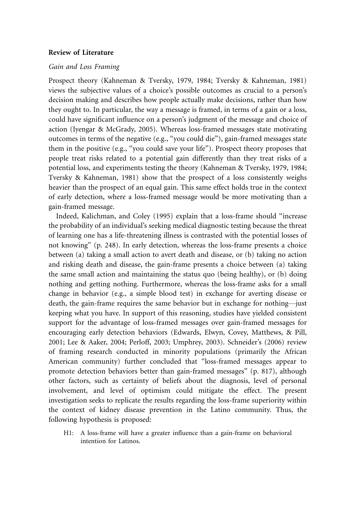#### Review of Literature

#### Gain and Loss Framing

Prospect theory (Kahneman & Tversky, 1979, 1984; Tversky & Kahneman, 1981) views the subjective values of a choice's possible outcomes as crucial to a person's decision making and describes how people actually make decisions, rather than how they ought to. In particular, the way a message is framed, in terms of a gain or a loss, could have significant influence on a person's judgment of the message and choice of action (Iyengar & McGrady, 2005). Whereas loss-framed messages state motivating outcomes in terms of the negative (e.g., ''you could die''), gain-framed messages state them in the positive (e.g., ''you could save your life''). Prospect theory proposes that people treat risks related to a potential gain differently than they treat risks of a potential loss, and experiments testing the theory (Kahneman & Tversky, 1979, 1984; Tversky & Kahneman, 1981) show that the prospect of a loss consistently weighs heavier than the prospect of an equal gain. This same effect holds true in the context of early detection, where a loss-framed message would be more motivating than a gain-framed message.

Indeed, Kalichman, and Coley (1995) explain that a loss-frame should ''increase the probability of an individual's seeking medical diagnostic testing because the threat of learning one has a life-threatening illness is contrasted with the potential losses of not knowing'' (p. 248). In early detection, whereas the loss-frame presents a choice between (a) taking a small action to avert death and disease, or (b) taking no action and risking death and disease, the gain-frame presents a choice between (a) taking the same small action and maintaining the status quo (being healthy), or (b) doing nothing and getting nothing. Furthermore, whereas the loss-frame asks for a small change in behavior (e.g., a simple blood test) in exchange for averting disease or death, the gain-frame requires the same behavior but in exchange for nothing—just keeping what you have. In support of this reasoning, studies have yielded consistent support for the advantage of loss-framed messages over gain-framed messages for encouraging early detection behaviors (Edwards, Elwyn, Covey, Matthews, & Pill, 2001; Lee & Aaker, 2004; Perloff, 2003; Umphrey, 2003). Schneider's (2006) review of framing research conducted in minority populations (primarily the African American community) further concluded that ''loss-framed messages appear to promote detection behaviors better than gain-framed messages'' (p. 817), although other factors, such as certainty of beliefs about the diagnosis, level of personal involvement, and level of optimism could mitigate the effect. The present investigation seeks to replicate the results regarding the loss-frame superiority within the context of kidney disease prevention in the Latino community. Thus, the following hypothesis is proposed:

H1: A loss-frame will have a greater influence than a gain-frame on behavioral intention for Latinos.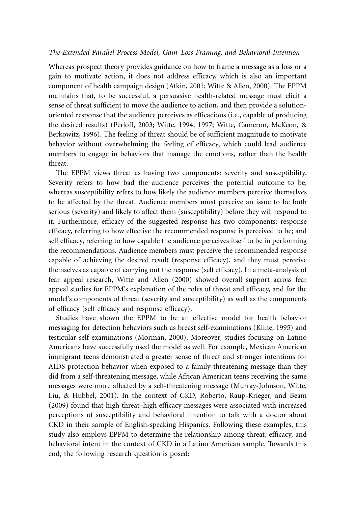#### The Extended Parallel Process Model, GainLoss Framing, and Behavioral Intention

Whereas prospect theory provides guidance on how to frame a message as a loss or a gain to motivate action, it does not address efficacy, which is also an important component of health campaign design (Atkin, 2001; Witte & Allen, 2000). The EPPM maintains that, to be successful, a persuasive health-related message must elicit a sense of threat sufficient to move the audience to action, and then provide a solutionoriented response that the audience perceives as efficacious (i.e., capable of producing the desired results) (Perloff, 2003; Witte, 1994, 1997; Witte, Cameron, McKeon, & Berkowitz, 1996). The feeling of threat should be of sufficient magnitude to motivate behavior without overwhelming the feeling of efficacy, which could lead audience members to engage in behaviors that manage the emotions, rather than the health threat.

The EPPM views threat as having two components: severity and susceptibility. Severity refers to how bad the audience perceives the potential outcome to be, whereas susceptibility refers to how likely the audience members perceive themselves to be affected by the threat. Audience members must perceive an issue to be both serious (severity) and likely to affect them (susceptibility) before they will respond to it. Furthermore, efficacy of the suggested response has two components: response efficacy, referring to how effective the recommended response is perceived to be; and self efficacy, referring to how capable the audience perceives itself to be in performing the recommendations. Audience members must perceive the recommended response capable of achieving the desired result (response efficacy), and they must perceive themselves as capable of carrying out the response (self efficacy). In a meta-analysis of fear appeal research, Witte and Allen (2000) showed overall support across fear appeal studies for EPPM's explanation of the roles of threat and efficacy, and for the model's components of threat (severity and susceptibility) as well as the components of efficacy (self efficacy and response efficacy).

Studies have shown the EPPM to be an effective model for health behavior messaging for detection behaviors such as breast self-examinations (Kline, 1995) and testicular self-examinations (Morman, 2000). Moreover, studies focusing on Latino Americans have successfully used the model as well. For example, Mexican American immigrant teens demonstrated a greater sense of threat and stronger intentions for AIDS protection behavior when exposed to a family-threatening message than they did from a self-threatening message, while African American teens receiving the same messages were more affected by a self-threatening message (Murray-Johnson, Witte, Liu, & Hubbel, 2001). In the context of CKD, Roberto, Raup-Krieger, and Beam (2009) found that high threat-high efficacy messages were associated with increased perceptions of susceptibility and behavioral intention to talk with a doctor about CKD in their sample of English-speaking Hispanics. Following these examples, this study also employs EPPM to determine the relationship among threat, efficacy, and behavioral intent in the context of CKD in a Latino American sample. Towards this end, the following research question is posed: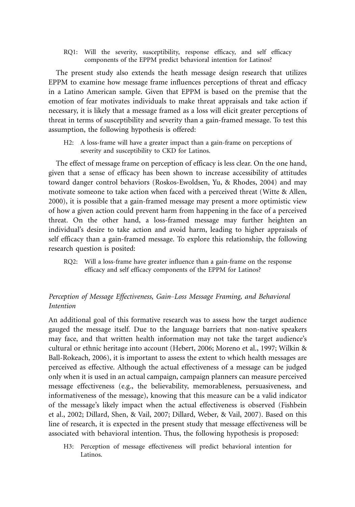RQ1: Will the severity, susceptibility, response efficacy, and self efficacy components of the EPPM predict behavioral intention for Latinos?

The present study also extends the heath message design research that utilizes EPPM to examine how message frame influences perceptions of threat and efficacy in a Latino American sample. Given that EPPM is based on the premise that the emotion of fear motivates individuals to make threat appraisals and take action if necessary, it is likely that a message framed as a loss will elicit greater perceptions of threat in terms of susceptibility and severity than a gain-framed message. To test this assumption, the following hypothesis is offered:

H2: A loss-frame will have a greater impact than a gain-frame on perceptions of severity and susceptibility to CKD for Latinos.

The effect of message frame on perception of efficacy is less clear. On the one hand, given that a sense of efficacy has been shown to increase accessibility of attitudes toward danger control behaviors (Roskos-Ewoldsen, Yu, & Rhodes, 2004) and may motivate someone to take action when faced with a perceived threat (Witte & Allen, 2000), it is possible that a gain-framed message may present a more optimistic view of how a given action could prevent harm from happening in the face of a perceived threat. On the other hand, a loss-framed message may further heighten an individual's desire to take action and avoid harm, leading to higher appraisals of self efficacy than a gain-framed message. To explore this relationship, the following research question is posited:

RQ2: Will a loss-frame have greater influence than a gain-frame on the response efficacy and self efficacy components of the EPPM for Latinos?

#### Perception of Message Effectiveness, Gain–Loss Message Framing, and Behavioral Intention

An additional goal of this formative research was to assess how the target audience gauged the message itself. Due to the language barriers that non-native speakers may face, and that written health information may not take the target audience's cultural or ethnic heritage into account (Hebert, 2006; Moreno et al., 1997; Wilkin & Ball-Rokeach, 2006), it is important to assess the extent to which health messages are perceived as effective. Although the actual effectiveness of a message can be judged only when it is used in an actual campaign, campaign planners can measure perceived message effectiveness (e.g., the believability, memorableness, persuasiveness, and informativeness of the message), knowing that this measure can be a valid indicator of the message's likely impact when the actual effectiveness is observed (Fishbein et al., 2002; Dillard, Shen, & Vail, 2007; Dillard, Weber, & Vail, 2007). Based on this line of research, it is expected in the present study that message effectiveness will be associated with behavioral intention. Thus, the following hypothesis is proposed:

H3: Perception of message effectiveness will predict behavioral intention for Latinos.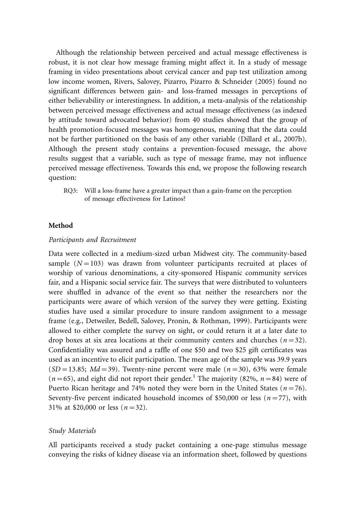Although the relationship between perceived and actual message effectiveness is robust, it is not clear how message framing might affect it. In a study of message framing in video presentations about cervical cancer and pap test utilization among low income women, Rivers, Salovey, Pizarro, Pizarro & Schneider (2005) found no significant differences between gain- and loss-framed messages in perceptions of either believability or interestingness. In addition, a meta-analysis of the relationship between perceived message effectiveness and actual message effectiveness (as indexed by attitude toward advocated behavior) from 40 studies showed that the group of health promotion-focused messages was homogenous, meaning that the data could not be further partitioned on the basis of any other variable (Dillard et al., 2007b). Although the present study contains a prevention-focused message, the above results suggest that a variable, such as type of message frame, may not influence perceived message effectiveness. Towards this end, we propose the following research question:

RQ3: Will a loss-frame have a greater impact than a gain-frame on the perception of message effectiveness for Latinos?

#### Method

#### Participants and Recruitment

Data were collected in a medium-sized urban Midwest city. The community-based sample  $(N=103)$  was drawn from volunteer participants recruited at places of worship of various denominations, a city-sponsored Hispanic community services fair, and a Hispanic social service fair. The surveys that were distributed to volunteers were shuffled in advance of the event so that neither the researchers nor the participants were aware of which version of the survey they were getting. Existing studies have used a similar procedure to insure random assignment to a message frame (e.g., Detweiler, Bedell, Salovey, Pronin, & Rothman, 1999). Participants were allowed to either complete the survey on sight, or could return it at a later date to drop boxes at six area locations at their community centers and churches  $(n=32)$ . Confidentiality was assured and a raffle of one \$50 and two \$25 gift certificates was used as an incentive to elicit participation. The mean age of the sample was 39.9 years  $(SD=13.85; Md=39)$ . Twenty-nine percent were male  $(n=30)$ , 63% were female  $(n=65)$ , and eight did not report their gender.<sup>1</sup> The majority (82%,  $n=84$ ) were of Puerto Rican heritage and 74% noted they were born in the United States ( $n=76$ ). Seventy-five percent indicated household incomes of \$50,000 or less ( $n=77$ ), with 31% at \$20,000 or less  $(n=32)$ .

#### Study Materials

All participants received a study packet containing a one-page stimulus message conveying the risks of kidney disease via an information sheet, followed by questions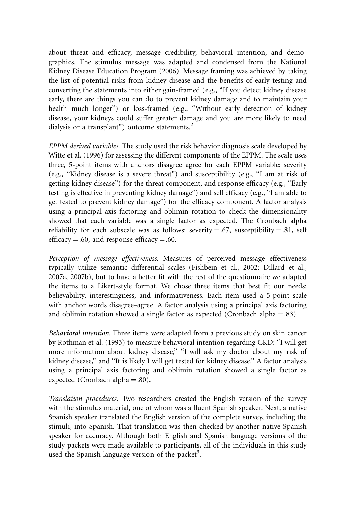about threat and efficacy, message credibility, behavioral intention, and demographics. The stimulus message was adapted and condensed from the National Kidney Disease Education Program (2006). Message framing was achieved by taking the list of potential risks from kidney disease and the benefits of early testing and converting the statements into either gain-framed (e.g., ''If you detect kidney disease early, there are things you can do to prevent kidney damage and to maintain your health much longer") or loss-framed (e.g., "Without early detection of kidney disease, your kidneys could suffer greater damage and you are more likely to need dialysis or a transplant") outcome statements.<sup>2</sup>

EPPM derived variables. The study used the risk behavior diagnosis scale developed by Witte et al. (1996) for assessing the different components of the EPPM. The scale uses three, 5-point items with anchors disagree-agree for each EPPM variable: severity (e.g., ''Kidney disease is a severe threat'') and susceptibility (e.g., ''I am at risk of getting kidney disease'') for the threat component, and response efficacy (e.g., ''Early testing is effective in preventing kidney damage'') and self efficacy (e.g., ''I am able to get tested to prevent kidney damage'') for the efficacy component. A factor analysis using a principal axis factoring and oblimin rotation to check the dimensionality showed that each variable was a single factor as expected. The Cronbach alpha reliability for each subscale was as follows: severity = .67, susceptibility = .81, self efficacy = .60, and response efficacy = .60.

Perception of message effectiveness. Measures of perceived message effectiveness typically utilize semantic differential scales (Fishbein et al., 2002; Dillard et al., 2007a, 2007b), but to have a better fit with the rest of the questionnaire we adapted the items to a Likert-style format. We chose three items that best fit our needs: believability, interestingness, and informativeness. Each item used a 5-point scale with anchor words disagree-agree. A factor analysis using a principal axis factoring and oblimin rotation showed a single factor as expected (Cronbach alpha =  $.83$ ).

Behavioral intention. Three items were adapted from a previous study on skin cancer by Rothman et al. (1993) to measure behavioral intention regarding CKD: ''I will get more information about kidney disease," "I will ask my doctor about my risk of kidney disease," and "It is likely I will get tested for kidney disease." A factor analysis using a principal axis factoring and oblimin rotation showed a single factor as expected (Cronbach alpha $=$ .80).

Translation procedures. Two researchers created the English version of the survey with the stimulus material, one of whom was a fluent Spanish speaker. Next, a native Spanish speaker translated the English version of the complete survey, including the stimuli, into Spanish. That translation was then checked by another native Spanish speaker for accuracy. Although both English and Spanish language versions of the study packets were made available to participants, all of the individuals in this study used the Spanish language version of the packet<sup>3</sup>.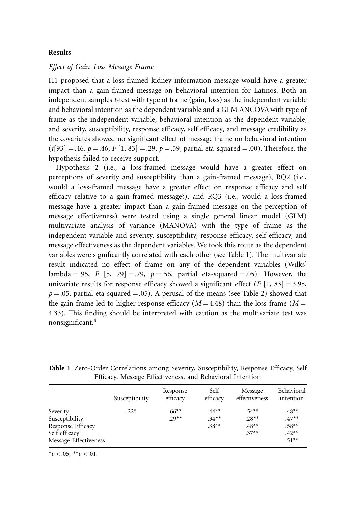#### Results

#### Effect of Gain-Loss Message Frame

H1 proposed that a loss-framed kidney information message would have a greater impact than a gain-framed message on behavioral intention for Latinos. Both an independent samples t-test with type of frame (gain, loss) as the independent variable and behavioral intention as the dependent variable and a GLM ANCOVA with type of frame as the independent variable, behavioral intention as the dependent variable, and severity, susceptibility, response efficacy, self efficacy, and message credibility as the covariates showed no significant effect of message frame on behavioral intention  $(t[93] = .46, p = .46; F[1, 83] = .29, p = .59$ , partial eta-squared = .00). Therefore, the hypothesis failed to receive support.

Hypothesis 2 (i.e., a loss-framed message would have a greater effect on perceptions of severity and susceptibility than a gain-framed message), RQ2 (i.e., would a loss-framed message have a greater effect on response efficacy and self efficacy relative to a gain-framed message?), and RQ3 (i.e., would a loss-framed message have a greater impact than a gain-framed message on the perception of message effectiveness) were tested using a single general linear model (GLM) multivariate analysis of variance (MANOVA) with the type of frame as the independent variable and severity, susceptibility, response efficacy, self efficacy, and message effectiveness as the dependent variables. We took this route as the dependent variables were significantly correlated with each other (see Table 1). The multivariate result indicated no effect of frame on any of the dependent variables (Wilks' lambda = .95, F [5, 79] = .79,  $p = .56$ , partial eta-squared = .05). However, the univariate results for response efficacy showed a significant effect (F  $[1, 83] = 3.95$ ,  $p = 0.05$ , partial eta-squared = 0.05). A perusal of the means (see Table 2) showed that the gain-frame led to higher response efficacy ( $M=4.48$ ) than the loss-frame ( $M=$ 4.33). This finding should be interpreted with caution as the multivariate test was nonsignificant.<sup>4</sup>

Table 1 Zero-Order Correlations among Severity, Susceptibility, Response Efficacy, Self Efficacy, Message Effectiveness, and Behavioral Intention

|                                                                                           | Susceptibility | Response<br>efficacy | Self<br>efficacy               | Message<br>effectiveness                 | Behavioral<br>intention                              |
|-------------------------------------------------------------------------------------------|----------------|----------------------|--------------------------------|------------------------------------------|------------------------------------------------------|
| Severity<br>Susceptibility<br>Response Efficacy<br>Self efficacy<br>Message Effectiveness | $.22*$         | $.66***$<br>$.29**$  | $.44**$<br>$.34***$<br>$.38**$ | $.54**$<br>$.28**$<br>$.48**$<br>$.37**$ | $.48**$<br>$.47**$<br>$.58**$<br>$.42**$<br>$.51***$ |

\*p $<$ .05; \*\*p $<$ .01.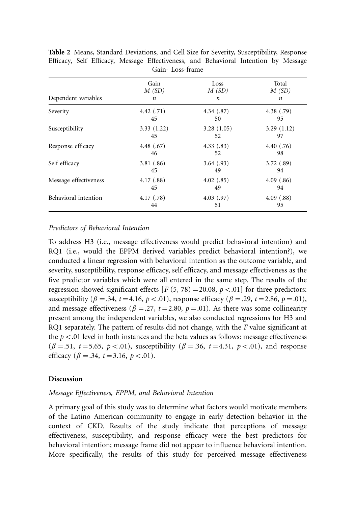| Dependent variables   | Gain             | Loss             | Total            |
|-----------------------|------------------|------------------|------------------|
|                       | M(SD)            | M(SD)            | M(SD)            |
|                       | $\boldsymbol{n}$ | $\boldsymbol{n}$ | $\boldsymbol{n}$ |
| Severity              | 4.42(.71)        | 4.34(.87)        | 4.38(.79)        |
|                       | 45               | 50               | 95               |
| Susceptibility        | 3.33(1.22)       | 3.28(1.05)       | 3.29(1.12)       |
|                       | 45               | 52               | 97               |
| Response efficacy     | 4.48(.67)        | 4.33(.83)        | 4.40(.76)        |
|                       | 46               | 52               | 98               |
| Self efficacy         | 3.81(.86)        | 3.64(.93)        | 3.72 (.89)       |
|                       | 45               | 49               | 94               |
| Message effectiveness | 4.17(.88)        | 4.02(0.85)       | 4.09(.86)        |
|                       | 45               | 49               | 94               |
| Behavioral intention  | 4.17(0.78)       | $4.03$ $(.97)$   | 4.09(.88)        |
|                       | 44               | 51               | 95               |

Table 2 Means, Standard Deviations, and Cell Size for Severity, Susceptibility, Response Efficacy, Self Efficacy, Message Effectiveness, and Behavioral Intention by Message Gain- Loss-frame

#### Predictors of Behavioral Intention

To address H3 (i.e., message effectiveness would predict behavioral intention) and RQ1 (i.e., would the EPPM derived variables predict behavioral intention?), we conducted a linear regression with behavioral intention as the outcome variable, and severity, susceptibility, response efficacy, self efficacy, and message effectiveness as the five predictor variables which were all entered in the same step. The results of the regression showed significant effects  $[F (5, 78) = 20.08, p < .01]$  for three predictors: susceptibility ( $\beta = 0.34$ ,  $t = 4.16$ ,  $p < 0.01$ ), response efficacy ( $\beta = 0.29$ ,  $t = 2.86$ ,  $p = 0.01$ ), and message effectiveness ( $\beta = .27$ ,  $t = 2.80$ ,  $p = .01$ ). As there was some collinearity present among the independent variables, we also conducted regressions for H3 and RQ1 separately. The pattern of results did not change, with the F value significant at the  $p < 01$  level in both instances and the beta values as follows: message effectiveness  $(\beta = .51, t = 5.65, p < .01)$ , susceptibility  $(\beta = .36, t = 4.31, p < .01)$ , and response efficacy ( $\beta$  = .34, t = 3.16, p < .01).

#### Discussion

#### Message Effectiveness, EPPM, and Behavioral Intention

A primary goal of this study was to determine what factors would motivate members of the Latino American community to engage in early detection behavior in the context of CKD. Results of the study indicate that perceptions of message effectiveness, susceptibility, and response efficacy were the best predictors for behavioral intention; message frame did not appear to influence behavioral intention. More specifically, the results of this study for perceived message effectiveness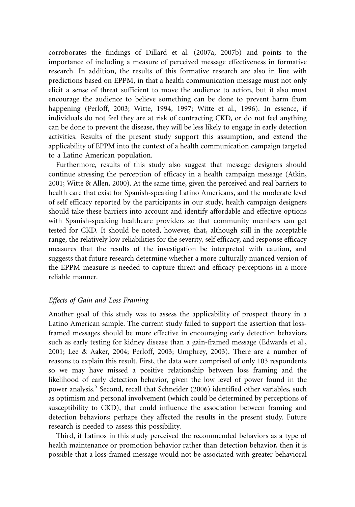corroborates the findings of Dillard et al. (2007a, 2007b) and points to the importance of including a measure of perceived message effectiveness in formative research. In addition, the results of this formative research are also in line with predictions based on EPPM, in that a health communication message must not only elicit a sense of threat sufficient to move the audience to action, but it also must encourage the audience to believe something can be done to prevent harm from happening (Perloff, 2003; Witte, 1994, 1997; Witte et al., 1996). In essence, if individuals do not feel they are at risk of contracting CKD, or do not feel anything can be done to prevent the disease, they will be less likely to engage in early detection activities. Results of the present study support this assumption, and extend the applicability of EPPM into the context of a health communication campaign targeted to a Latino American population.

Furthermore, results of this study also suggest that message designers should continue stressing the perception of efficacy in a health campaign message (Atkin, 2001; Witte & Allen, 2000). At the same time, given the perceived and real barriers to health care that exist for Spanish-speaking Latino Americans, and the moderate level of self efficacy reported by the participants in our study, health campaign designers should take these barriers into account and identify affordable and effective options with Spanish-speaking healthcare providers so that community members can get tested for CKD. It should be noted, however, that, although still in the acceptable range, the relatively low reliabilities for the severity, self efficacy, and response efficacy measures that the results of the investigation be interpreted with caution, and suggests that future research determine whether a more culturally nuanced version of the EPPM measure is needed to capture threat and efficacy perceptions in a more reliable manner.

#### Effects of Gain and Loss Framing

Another goal of this study was to assess the applicability of prospect theory in a Latino American sample. The current study failed to support the assertion that lossframed messages should be more effective in encouraging early detection behaviors such as early testing for kidney disease than a gain-framed message (Edwards et al., 2001; Lee & Aaker, 2004; Perloff, 2003; Umphrey, 2003). There are a number of reasons to explain this result. First, the data were comprised of only 103 respondents so we may have missed a positive relationship between loss framing and the likelihood of early detection behavior, given the low level of power found in the power analysis.<sup>5</sup> Second, recall that Schneider (2006) identified other variables, such as optimism and personal involvement (which could be determined by perceptions of susceptibility to CKD), that could influence the association between framing and detection behaviors; perhaps they affected the results in the present study. Future research is needed to assess this possibility.

Third, if Latinos in this study perceived the recommended behaviors as a type of health maintenance or promotion behavior rather than detection behavior, then it is possible that a loss-framed message would not be associated with greater behavioral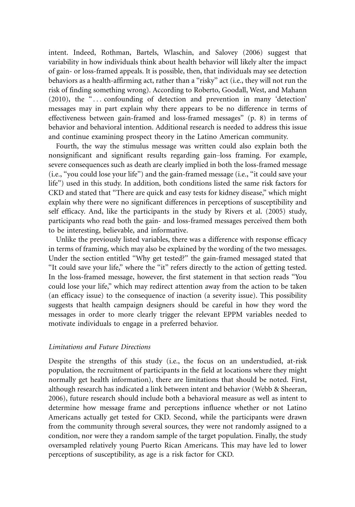intent. Indeed, Rothman, Bartels, Wlaschin, and Salovey (2006) suggest that variability in how individuals think about health behavior will likely alter the impact of gain- or loss-framed appeals. It is possible, then, that individuals may see detection behaviors as a health-affirming act, rather than a "risky" act (i.e., they will not run the risk of finding something wrong). According to Roberto, Goodall, West, and Mahann (2010), the ''... confounding of detection and prevention in many 'detection' messages may in part explain why there appears to be no difference in terms of effectiveness between gain-framed and loss-framed messages'' (p. 8) in terms of behavior and behavioral intention. Additional research is needed to address this issue and continue examining prospect theory in the Latino American community.

Fourth, the way the stimulus message was written could also explain both the nonsignificant and significant results regarding gain-loss framing. For example, severe consequences such as death are clearly implied in both the loss-framed message (i.e., ''you could lose your life'') and the gain-framed message (i.e., ''it could save your life'') used in this study. In addition, both conditions listed the same risk factors for CKD and stated that ''There are quick and easy tests for kidney disease,'' which might explain why there were no significant differences in perceptions of susceptibility and self efficacy. And, like the participants in the study by Rivers et al. (2005) study, participants who read both the gain- and loss-framed messages perceived them both to be interesting, believable, and informative.

Unlike the previously listed variables, there was a difference with response efficacy in terms of framing, which may also be explained by the wording of the two messages. Under the section entitled ''Why get tested?'' the gain-framed messaged stated that ''It could save your life,'' where the ''it'' refers directly to the action of getting tested. In the loss-framed message, however, the first statement in that section reads ''You could lose your life,'' which may redirect attention away from the action to be taken (an efficacy issue) to the consequence of inaction (a severity issue). This possibility suggests that health campaign designers should be careful in how they word the messages in order to more clearly trigger the relevant EPPM variables needed to motivate individuals to engage in a preferred behavior.

#### Limitations and Future Directions

Despite the strengths of this study (i.e., the focus on an understudied, at-risk population, the recruitment of participants in the field at locations where they might normally get health information), there are limitations that should be noted. First, although research has indicated a link between intent and behavior (Webb & Sheeran, 2006), future research should include both a behavioral measure as well as intent to determine how message frame and perceptions influence whether or not Latino Americans actually get tested for CKD. Second, while the participants were drawn from the community through several sources, they were not randomly assigned to a condition, nor were they a random sample of the target population. Finally, the study oversampled relatively young Puerto Rican Americans. This may have led to lower perceptions of susceptibility, as age is a risk factor for CKD.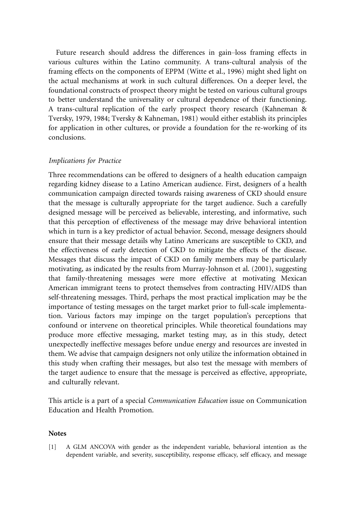Future research should address the differences in gain-loss framing effects in various cultures within the Latino community. A trans-cultural analysis of the framing effects on the components of EPPM (Witte et al., 1996) might shed light on the actual mechanisms at work in such cultural differences. On a deeper level, the foundational constructs of prospect theory might be tested on various cultural groups to better understand the universality or cultural dependence of their functioning. A trans-cultural replication of the early prospect theory research (Kahneman & Tversky, 1979, 1984; Tversky & Kahneman, 1981) would either establish its principles for application in other cultures, or provide a foundation for the re-working of its conclusions.

#### Implications for Practice

Three recommendations can be offered to designers of a health education campaign regarding kidney disease to a Latino American audience. First, designers of a health communication campaign directed towards raising awareness of CKD should ensure that the message is culturally appropriate for the target audience. Such a carefully designed message will be perceived as believable, interesting, and informative, such that this perception of effectiveness of the message may drive behavioral intention which in turn is a key predictor of actual behavior. Second, message designers should ensure that their message details why Latino Americans are susceptible to CKD, and the effectiveness of early detection of CKD to mitigate the effects of the disease. Messages that discuss the impact of CKD on family members may be particularly motivating, as indicated by the results from Murray-Johnson et al. (2001), suggesting that family-threatening messages were more effective at motivating Mexican American immigrant teens to protect themselves from contracting HIV/AIDS than self-threatening messages. Third, perhaps the most practical implication may be the importance of testing messages on the target market prior to full-scale implementation. Various factors may impinge on the target population's perceptions that confound or intervene on theoretical principles. While theoretical foundations may produce more effective messaging, market testing may, as in this study, detect unexpectedly ineffective messages before undue energy and resources are invested in them. We advise that campaign designers not only utilize the information obtained in this study when crafting their messages, but also test the message with members of the target audience to ensure that the message is perceived as effective, appropriate, and culturally relevant.

This article is a part of a special Communication Education issue on Communication Education and Health Promotion.

#### Notes

[1] A GLM ANCOVA with gender as the independent variable, behavioral intention as the dependent variable, and severity, susceptibility, response efficacy, self efficacy, and message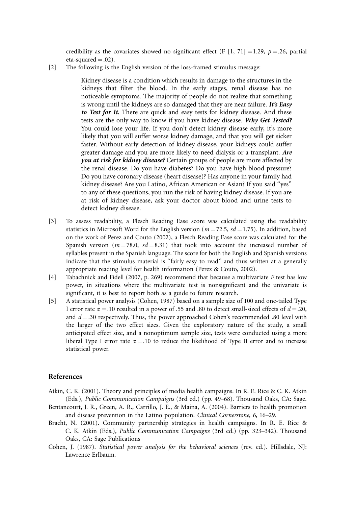credibility as the covariates showed no significant effect (F [1, 71] = 1.29,  $p = 0.26$ , partial  $eta$ -squared = .02).

[2] The following is the English version of the loss-framed stimulus message:

Kidney disease is a condition which results in damage to the structures in the kidneys that filter the blood. In the early stages, renal disease has no noticeable symptoms. The majority of people do not realize that something is wrong until the kidneys are so damaged that they are near failure. It's Easy to Test for It. There are quick and easy tests for kidney disease. And these tests are the only way to know if you have kidney disease. Why Get Tested? You could lose your life. If you don't detect kidney disease early, it's more likely that you will suffer worse kidney damage, and that you will get sicker faster. Without early detection of kidney disease, your kidneys could suffer greater damage and you are more likely to need dialysis or a transplant. Are you at risk for kidney disease? Certain groups of people are more affected by the renal disease. Do you have diabetes? Do you have high blood pressure? Do you have coronary disease (heart disease)? Has anyone in your family had kidney disease? Are you Latino, African American or Asian? If you said ''yes'' to any of these questions, you run the risk of having kidney disease. If you are at risk of kidney disease, ask your doctor about blood and urine tests to detect kidney disease.

- [3] To assess readability, a Flesch Reading Ease score was calculated using the readability statistics in Microsoft Word for the English version ( $m=72.5$ ,  $sd=1.75$ ). In addition, based on the work of Perez and Couto (2002), a Flesch Reading Ease score was calculated for the Spanish version ( $m=78.0$ ,  $sd=8.31$ ) that took into account the increased number of syllables present in the Spanish language. The score for both the English and Spanish versions indicate that the stimulus material is "fairly easy to read" and thus written at a generally appropriate reading level for health information (Perez & Couto, 2002).
- [4] Tabachnick and Fidell (2007, p. 269) recommend that because a multivariate F test has low power, in situations where the multivariate test is nonsignificant and the univariate is significant, it is best to report both as a guide to future research.
- [5] A statistical power analysis (Cohen, 1987) based on a sample size of 100 and one-tailed Type I error rate  $\alpha = 0.10$  resulted in a power of .55 and .80 to detect small-sized effects of  $d = 0.20$ , and  $d = 0.30$  respectively. Thus, the power approached Cohen's recommended .80 level with the larger of the two effect sizes. Given the exploratory nature of the study, a small anticipated effect size, and a nonoptimum sample size, tests were conducted using a more liberal Type I error rate  $\alpha = 0.10$  to reduce the likelihood of Type II error and to increase statistical power.

#### References

- Atkin, C. K. (2001). Theory and principles of media health campaigns. In R. E. Rice & C. K. Atkin (Eds.), Public Communication Campaigns (3rd ed.) (pp. 49–68). Thousand Oaks, CA: Sage.
- Bentancourt, J. R., Green, A. R., Carrillo, J. E., & Maina, A. (2004). Barriers to health promotion and disease prevention in the Latino population. Clinical Cornerstone, 6, 16–29.
- Bracht, N. (2001). Community partnership strategies in health campaigns. In R. E. Rice & C. K. Atkin (Eds.), *Public Communication Campaigns* (3rd ed.) (pp. 323–342). Thousand Oaks, CA: Sage Publications
- Cohen, J. (1987). Statistical power analysis for the behavioral sciences (rev. ed.). Hillsdale, NJ: Lawrence Erlbaum.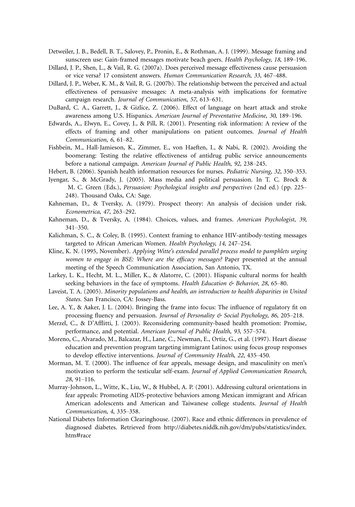- Detweiler, J. B., Bedell, B. T., Salovey, P., Pronin, E., & Rothman, A. J. (1999). Message framing and sunscreen use: Gain-framed messages motivate beach goers. Health Psychology, 18, 189-196.
- Dillard, J. P., Shen, L., & Vail, R. G. (2007a). Does perceived message effectiveness cause persuasion or vice versa? 17 consistent answers. Human Communication Research, 33, 467-488.
- Dillard, J. P., Weber, K. M., & Vail, R. G. (2007b). The relationship between the perceived and actual effectiveness of persuasive messages: A meta-analysis with implications for formative campaign research. Journal of Communication, 57, 613-631.
- DuBard, C. A., Garrett, J., & Gizlice, Z. (2006). Effect of language on heart attack and stroke awareness among U.S. Hispanics. American Journal of Preventative Medicine, 30, 189-196.
- Edwards, A., Elwyn, E., Covey, J., & Pill, R. (2001). Presenting risk information: A review of the effects of framing and other manipulations on patient outcomes. Journal of Health Communication, 6, 61-82.
- Fishbein, M., Hall-Jamieson, K., Zimmer, E., von Haeften, I., & Nabi, R. (2002). Avoiding the boomerang: Testing the relative effectiveness of antidrug public service announcements before a national campaign. American Journal of Public Health, 92, 238–245.
- Hebert, B. (2006). Spanish health information resources for nurses. Pediatric Nursing, 32, 350-353.
- Iyengar, S., & McGrady, J. (2005). Mass media and political persuasion. In T. C. Brock & M. C. Green (Eds.), Persuasion: Psychological insights and perspectives (2nd ed.) (pp. 225 248). Thousand Oaks, CA: Sage.
- Kahneman, D., & Tversky, A. (1979). Prospect theory: An analysis of decision under risk. Econometrica, 47, 263-292.
- Kahneman, D., & Tversky, A. (1984). Choices, values, and frames. American Psychologist, 39, 341-350.
- Kalichman, S. C., & Coley, B. (1995). Context framing to enhance HIV-antibody-testing messages targeted to African American Women. Health Psychology, 14, 247-254.
- Kline, K. N. (1995, November). Applying Witte's extended parallel process model to pamphlets urging women to engage in BSE: Where are the efficacy messages? Paper presented at the annual meeting of the Speech Communication Association, San Antonio, TX.
- Larkey, L. K., Hecht, M. L., Miller, K., & Alatorre, C. (2001). Hispanic cultural norms for health seeking behaviors in the face of symptoms. Health Education  $\&$  Behavior, 28, 65–80.
- Laveist, T. A. (2005). Minority populations and health, an introduction to health disparities in United States. San Francisco, CA: Jossey-Bass.
- Lee, A. Y., & Aaker, J. L. (2004). Bringing the frame into focus: The influence of regulatory fit on processing fluency and persuasion. Journal of Personality & Social Psychology, 86, 205-218.
- Merzel, C., & D'Afflitti, J. (2003). Reconsidering community-based health promotion: Promise, performance, and potential. American Journal of Public Health, 93, 557-574.
- Moreno, C., Alvarado, M., Balcazar, H., Lane, C., Newman, E., Ortiz, G., et al. (1997). Heart disease education and prevention program targeting immigrant Latinos: using focus group responses to develop effective interventions. Journal of Community Health, 22, 435-450.
- Morman, M. T. (2000). The influence of fear appeals, message design, and masculinity on men's motivation to perform the testicular self-exam. Journal of Applied Communication Research,  $28, 91 - 116.$
- Murray-Johnson, L., Witte, K., Liu, W., & Hubbel, A. P. (2001). Addressing cultural orientations in fear appeals: Promoting AIDS-protective behaviors among Mexican immigrant and African American adolescents and American and Taiwanese college students. Journal of Health Communication, 4, 335-358.
- National Diabetes Information Clearinghouse. (2007). Race and ethnic differences in prevalence of diagnosed diabetes. Retrieved from [http://diabetes.niddk.nih.gov/dm/pubs/statistics/index.](http://diabetes.niddk.nih.gov/dm/pubs/statistics/index.htm#race) [htm](http://diabetes.niddk.nih.gov/dm/pubs/statistics/index.htm#race)#race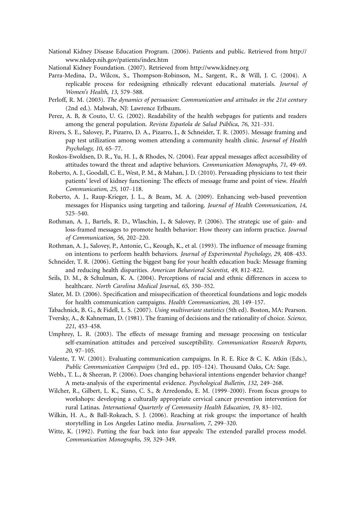- National Kidney Disease Education Program. (2006). Patients and public. Retrieved from [http://](http://www.nkdep.nih.gov/patients/index.htm) [www.nkdep.nih.gov/patients/index.htm](http://www.nkdep.nih.gov/patients/index.htm)
- National Kidney Foundation. (2007). Retrieved from<http://www.kidney.org>
- Parra-Medina, D., Wilcox, S., Thompson-Robinson, M., Sargent, R., & Will, J. C. (2004). A replicable process for redesigning ethnically relevant educational materials. Journal of Women's Health, 13, 579-588.
- Perloff, R. M. (2003). The dynamics of persuasion: Communication and attitudes in the 21st century (2nd ed.). Mahwah, NJ: Lawrence Erlbaum.
- Perez, A. B, & Couto, U. G. (2002). Readability of the health webpages for patients and readers among the general population. Revista Española de Salud Pública, 76, 321-331.
- Rivers, S. E., Salovey, P., Pizarro, D. A., Pizarro, J., & Schneider, T. R. (2005). Message framing and pap test utilization among women attending a community health clinic. Journal of Health Psychology, 10, 65-77.
- Roskos-Ewoldsen, D. R., Yu, H. J., & Rhodes, N. (2004). Fear appeal messages affect accessibility of attitudes toward the threat and adaptive behaviors. Communication Monographs, 71, 49-69.
- Roberto, A. J., Goodall, C. E., West, P. M., & Mahan, J. D. (2010). Persuading physicians to test their patients' level of kidney functioning: The effects of message frame and point of view. Health Communication,  $25$ ,  $107-118$ .
- Roberto, A. J., Raup-Krieger, J. L., & Beam, M. A. (2009). Enhancing web-based prevention messages for Hispanics using targeting and tailoring. Journal of Health Communication, 14, 525-540.
- Rothman, A. J., Bartels, R. D., Wlaschin, J., & Salovey, P. (2006). The strategic use of gain- and loss-framed messages to promote health behavior: How theory can inform practice. Journal of Communication, 56, 202-220.
- Rothman, A. J., Salovey, P., Antonie, C., Keough, K., et al. (1993). The influence of message framing on intentions to perform health behaviors. Journal of Experimental Psychology, 29, 408-433.
- Schneider, T. R. (2006). Getting the biggest bang for your health education buck: Message framing and reducing health disparities. American Behavioral Scientist, 49, 812–822.
- Seils, D. M., & Schulman, K. A. (2004). Perceptions of racial and ethnic differences in access to healthcare. North Carolina Medical Journal, 65, 350-352.
- Slater, M. D. (2006). Specification and misspecification of theoretical foundations and logic models for health communication campaigns. Health Communication, 20, 149-157.

Tabachnick, B. G., & Fidell, L. S. (2007). Using multivariate statistics (5th ed). Boston, MA: Pearson.

- Tversky, A., & Kahneman, D. (1981). The framing of decisions and the rationality of choice. Science, 221, 453-458.
- Umphrey, L. R. (2003). The effects of message framing and message processing on testicular self-examination attitudes and perceived susceptibility. Communication Research Reports, 20, 97-105.
- Valente, T. W. (2001). Evaluating communication campaigns. In R. E. Rice & C. K. Atkin (Eds.), Public Communication Campaigns (3rd ed., pp. 105-124). Thousand Oaks, CA: Sage.
- Webb., T. L., & Sheeran, P. (2006). Does changing behavioral intentions engender behavior change? A meta-analysis of the experimental evidence. Psychological Bulletin, 132, 249-268.
- Wilcher, R., Gilbert, L. K., Siano, C. S., & Arredondo, E. M. (1999–2000). From focus groups to workshops: developing a culturally appropriate cervical cancer prevention intervention for rural Latinas. International Quarterly of Community Health Education, 19, 83-102.
- Wilkin, H. A., & Ball-Rokeach, S. J. (2006). Reaching at risk groups: the importance of health storytelling in Los Angeles Latino media. Journalism, 7, 299-320.
- Witte, K. (1992). Putting the fear back into fear appeals: The extended parallel process model. Communication Monographs, 59, 329-349.